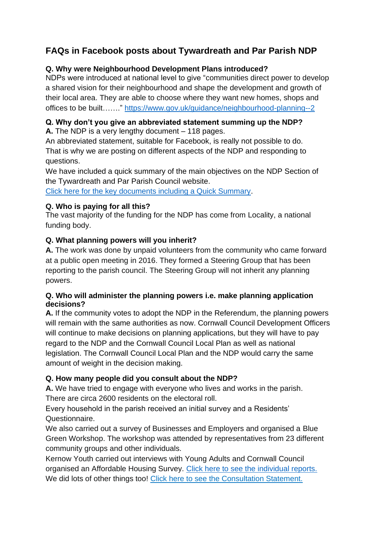# **FAQs in Facebook posts about Tywardreath and Par Parish NDP**

## **Q. Why were Neighbourhood Development Plans introduced?**

NDPs were introduced at national level to give "communities direct power to develop a shared vision for their neighbourhood and shape the development and growth of their local area. They are able to choose where they want new homes, shops and offices to be built……." <https://www.gov.uk/guidance/neighbourhood-planning--2>

# **Q. Why don't you give an abbreviated statement summing up the NDP?**

**A.** The NDP is a very lengthy document – 118 pages.

An abbreviated statement, suitable for Facebook, is really not possible to do. That is why we are posting on different aspects of the NDP and responding to questions.

We have included a quick summary of the main objectives on the NDP Section of the Tywardreath and Par Parish Council website.

[Click here for the key documents including a Quick Summary.](https://www.tywardreathandparparishcouncil.gov.uk/neighbourhoodplankeydocuments.php)

## **Q. Who is paying for all this?**

The vast majority of the funding for the NDP has come from Locality, a national funding body.

## **Q. What planning powers will you inherit?**

**A.** The work was done by unpaid volunteers from the community who came forward at a public open meeting in 2016. They formed a Steering Group that has been reporting to the parish council. The Steering Group will not inherit any planning powers.

#### **Q. Who will administer the planning powers i.e. make planning application decisions?**

**A.** If the community votes to adopt the NDP in the Referendum, the planning powers will remain with the same authorities as now. Cornwall Council Development Officers will continue to make decisions on planning applications, but they will have to pay regard to the NDP and the Cornwall Council Local Plan as well as national legislation. The Cornwall Council Local Plan and the NDP would carry the same amount of weight in the decision making.

## **Q. How many people did you consult about the NDP?**

**A.** We have tried to engage with everyone who lives and works in the parish. There are circa 2600 residents on the electoral roll.

Every household in the parish received an initial survey and a Residents' Questionnaire.

We also carried out a survey of Businesses and Employers and organised a Blue Green Workshop. The workshop was attended by representatives from 23 different community groups and other individuals.

Kernow Youth carried out interviews with Young Adults and Cornwall Council organised an Affordable Housing Survey. [Click here to see the individual reports.](https://www.tywardreathandparparishcouncil.gov.uk/surveysandreports.php) We did lots of other things too! [Click here to see the Consultation Statement.](https://www.tywardreathandparparishcouncil.gov.uk/data/uploads/1224_569459608.pdf)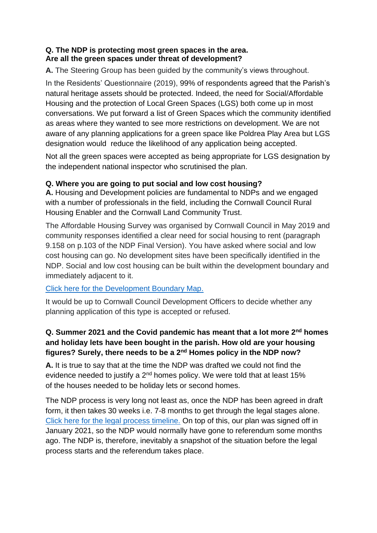## **Q. The NDP is protecting most green spaces in the area. Are all the green spaces under threat of development?**

**A.** The Steering Group has been guided by the community's views throughout.

In the Residents' Questionnaire (2019), 99% of respondents agreed that the Parish's natural heritage assets should be protected. Indeed, the need for Social/Affordable Housing and the protection of Local Green Spaces (LGS) both come up in most conversations. We put forward a list of Green Spaces which the community identified as areas where they wanted to see more restrictions on development. We are not aware of any planning applications for a green space like Poldrea Play Area but LGS designation would reduce the likelihood of any application being accepted.

Not all the green spaces were accepted as being appropriate for LGS designation by the independent national inspector who scrutinised the plan.

## **Q. Where you are going to put social and low cost housing?**

**A.** Housing and Development policies are fundamental to NDPs and we engaged with a number of professionals in the field, including the Cornwall Council Rural Housing Enabler and the Cornwall Land Community Trust.

The Affordable Housing Survey was organised by Cornwall Council in May 2019 and community responses identified a clear need for social housing to rent (paragraph 9.158 on p.103 of the NDP Final Version). You have asked where social and low cost housing can go. No development sites have been specifically identified in the NDP. Social and low cost housing can be built within the development boundary and immediately adjacent to it.

## [Click here for the Development Boundary Map.](https://www.tywardreathandparparishcouncil.gov.uk/data/uploads/1119_1151539135.pdf)

It would be up to Cornwall Council Development Officers to decide whether any planning application of this type is accepted or refused.

## **Q. Summer 2021 and the Covid pandemic has meant that a lot more 2nd homes and holiday lets have been bought in the parish. How old are your housing figures? Surely, there needs to be a 2nd Homes policy in the NDP now?**

**A.** It is true to say that at the time the NDP was drafted we could not find the evidence needed to justify a 2<sup>nd</sup> homes policy. We were told that at least 15% of the houses needed to be holiday lets or second homes.

The NDP process is very long not least as, once the NDP has been agreed in draft form, it then takes 30 weeks i.e. 7-8 months to get through the legal stages alone. [Click here for the legal process timeline.](https://www.tywardreathandparparishcouncil.gov.uk/data/uploads/1278_1218695029.pdf) On top of this, our plan was signed off in January 2021, so the NDP would normally have gone to referendum some months ago. The NDP is, therefore, inevitably a snapshot of the situation before the legal process starts and the referendum takes place.